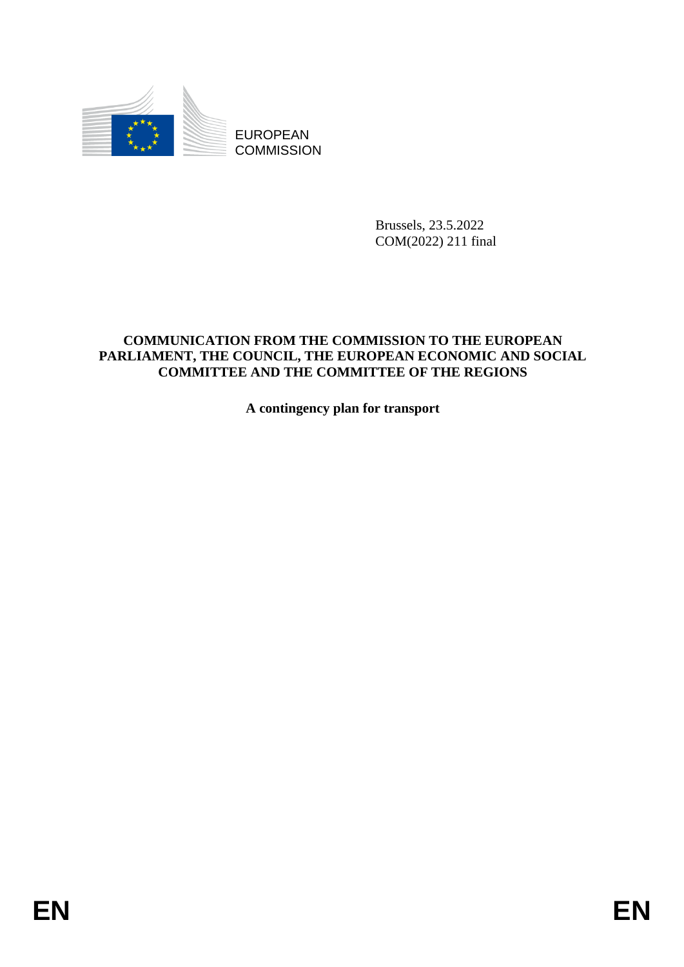

**COMMISSION** 

Brussels, 23.5.2022 COM(2022) 211 final

# EUROPEAN<br>
EUROPEAN<br>
ENDERGY COMMUNISION<br>
ENDERGY TO THE COMMUSICATOR<br>
COMMUNICATOR PROM<br>
PARLIAMENT, THE ENDERGY TO THE REGIONS<br>
THE ENDERGY PIE REGIONS<br>
A contingency plan for transport<br>
A contingency plan for transport<br> **COMMUNICATION FROM THE COMMISSION TO THE EUROPEAN PARLIAMENT, THE COUNCIL, THE EUROPEAN ECONOMIC AND SOCIAL COMMITTEE AND THE COMMITTEE OF THE REGIONS**

**A contingency plan for transport**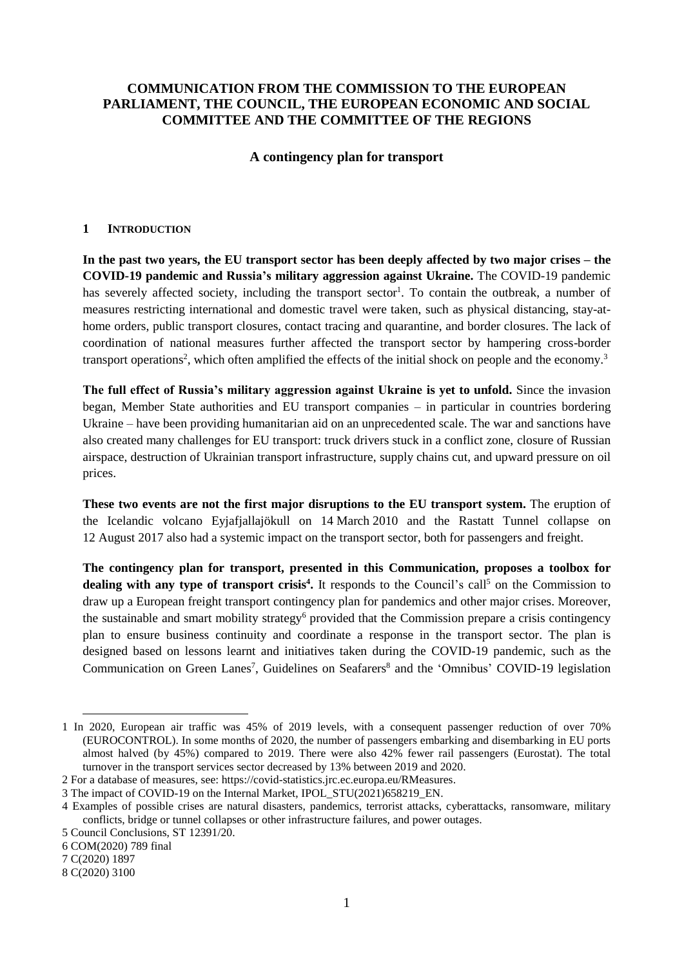# **COMMUNICATION FROM THE COMMISSION TO THE EUROPEAN PARLIAMENT, THE COUNCIL, THE EUROPEAN ECONOMIC AND SOCIAL COMMITTEE AND THE COMMITTEE OF THE REGIONS**

# **A contingency plan for transport**

### **1 INTRODUCTION**

In the past two years, the EU transport sector has been deeply affected by two major crises – the **COVID-19 pandemic and Russia's military aggression against Ukraine.** The COVID-19 pandemic has severely affected society, including the transport sector<sup>1</sup>. To contain the outbreak, a number of measures restricting international and domestic travel were taken, such as physical distancing, stay-athome orders, public transport closures, contact tracing and quarantine, and border closures. The lack of coordination of national measures further affected the transport sector by hampering cross-border transport operations<sup>2</sup>, which often amplified the effects of the initial shock on people and the economy.<sup>3</sup>

**The full effect of Russia's military aggression against Ukraine is yet to unfold.** Since the invasion began, Member State authorities and EU transport companies – in particular in countries bordering Ukraine – have been providing humanitarian aid on an unprecedented scale. The war and sanctions have also created many challenges for EU transport: truck drivers stuck in a conflict zone, closure of Russian airspace, destruction of Ukrainian transport infrastructure, supply chains cut, and upward pressure on oil prices.

**These two events are not the first major disruptions to the EU transport system.** The eruption of the Icelandic volcano Eyjafjallajökull on 14 March 2010 and the Rastatt Tunnel collapse on 12 August 2017 also had a systemic impact on the transport sector, both for passengers and freight.

**The contingency plan for transport, presented in this Communication, proposes a toolbox for**  dealing with any type of transport crisis<sup>4</sup>. It responds to the Council's call<sup>5</sup> on the Commission to draw up a European freight transport contingency plan for pandemics and other major crises. Moreover, the sustainable and smart mobility strategy<sup>6</sup> provided that the Commission prepare a crisis contingency plan to ensure business continuity and coordinate a response in the transport sector. The plan is designed based on lessons learnt and initiatives taken during the COVID-19 pandemic, such as the Communication on Green Lanes<sup>7</sup>, Guidelines on Seafarers<sup>8</sup> and the 'Omnibus' COVID-19 legislation

6 COM(2020) 789 final

7 C(2020) 1897

1

8 C(2020) 3100

<sup>1</sup> In 2020, European air traffic was 45% of 2019 levels, with a consequent passenger reduction of over 70% (EUROCONTROL). In some months of 2020, the number of passengers embarking and disembarking in EU ports almost halved (by 45%) compared to 2019. There were also 42% fewer rail passengers (Eurostat). The total turnover in the transport services sector decreased by 13% between 2019 and 2020.

<sup>2</sup> For a database of measures, see: [https://covid-statistics.jrc.ec.europa.eu/RMeasures.](https://covid-statistics.jrc.ec.europa.eu/RMeasures)

<sup>3</sup> The impact of COVID-19 on the Internal Market, IPOL\_STU(2021)658219\_EN.

<sup>4</sup> Examples of possible crises are natural disasters, pandemics, terrorist attacks, cyberattacks, ransomware, military conflicts, bridge or tunnel collapses or other infrastructure failures, and power outages.

<sup>5</sup> Council Conclusions, ST 12391/20.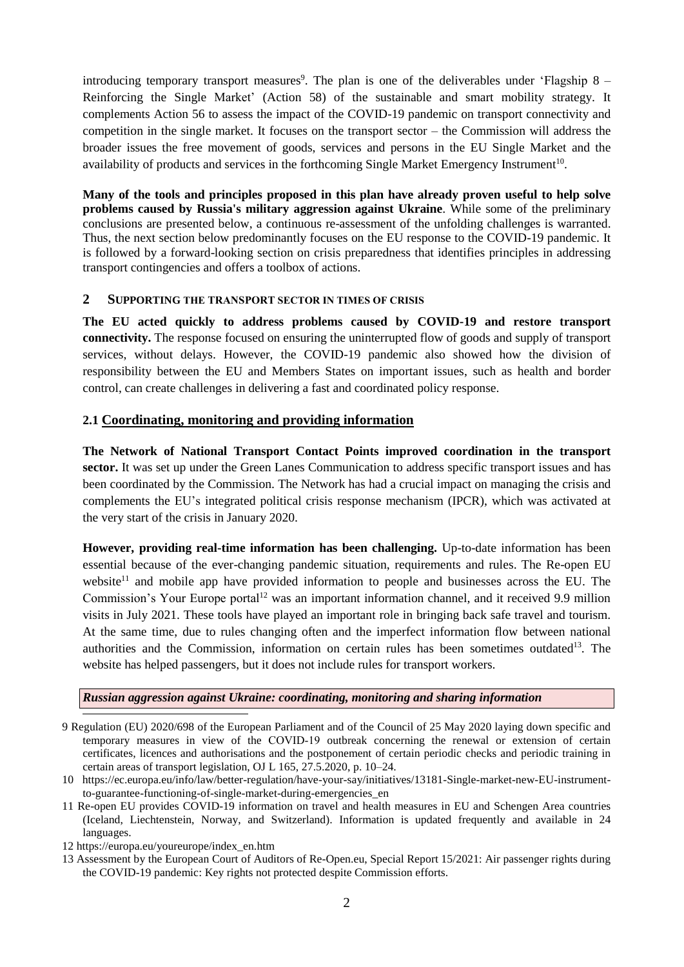introducing temporary transport measures<sup>9</sup>. The plan is one of the deliverables under 'Flagship  $8 -$ Reinforcing the Single Market' (Action 58) of the sustainable and smart mobility strategy. It complements Action 56 to assess the impact of the COVID-19 pandemic on transport connectivity and competition in the single market. It focuses on the transport sector – the Commission will address the broader issues the free movement of goods, services and persons in the EU Single Market and the availability of products and services in the forthcoming Single Market Emergency Instrument<sup>10</sup>.

**Many of the tools and principles proposed in this plan have already proven useful to help solve problems caused by Russia's military aggression against Ukraine**. While some of the preliminary conclusions are presented below, a continuous re-assessment of the unfolding challenges is warranted. Thus, the next section below predominantly focuses on the EU response to the COVID-19 pandemic. It is followed by a forward-looking section on crisis preparedness that identifies principles in addressing transport contingencies and offers a toolbox of actions.

# **2 SUPPORTING THE TRANSPORT SECTOR IN TIMES OF CRISIS**

**The EU acted quickly to address problems caused by COVID-19 and restore transport connectivity.** The response focused on ensuring the uninterrupted flow of goods and supply of transport services, without delays. However, the COVID-19 pandemic also showed how the division of responsibility between the EU and Members States on important issues, such as health and border control, can create challenges in delivering a fast and coordinated policy response.

# **2.1 Coordinating, monitoring and providing information**

**The Network of National Transport Contact Points improved coordination in the transport sector.** It was set up under the Green Lanes Communication to address specific transport issues and has been coordinated by the Commission. The Network has had a crucial impact on managing the crisis and complements the EU's integrated political crisis response mechanism (IPCR), which was activated at the very start of the crisis in January 2020.

**However, providing real-time information has been challenging.** Up-to-date information has been essential because of the ever-changing pandemic situation, requirements and rules. The Re-open EU website<sup>11</sup> and mobile app have provided information to people and businesses across the EU. The Commission's Your Europe portal<sup>12</sup> was an important information channel, and it received 9.9 million visits in July 2021. These tools have played an important role in bringing back safe travel and tourism. At the same time, due to rules changing often and the imperfect information flow between national authorities and the Commission, information on certain rules has been sometimes outdated<sup>13</sup>. The website has helped passengers, but it does not include rules for transport workers.

# *Russian aggression against Ukraine: coordinating, monitoring and sharing information*

- 9 Regulation (EU) 2020/698 of the European Parliament and of the Council of 25 May 2020 laying down specific and temporary measures in view of the COVID‐19 outbreak concerning the renewal or extension of certain certificates, licences and authorisations and the postponement of certain periodic checks and periodic training in certain areas of transport legislation, OJ L 165, 27.5.2020, p. 10–24.
- 10 https://ec.europa.eu/info/law/better-regulation/have-your-say/initiatives/13181-Single-market-new-EU-instrumentto-guarantee-functioning-of-single-market-during-emergencies\_en
- 11 Re-open EU provides COVID-19 information on travel and health measures in EU and Schengen Area countries (Iceland, Liechtenstein, Norway, and Switzerland). Information is updated frequently and available in 24 languages.
- 12 https://europa.eu/youreurope/index\_en.htm

 $\overline{\phantom{a}}$ 

13 Assessment by the European Court of Auditors of Re-Open.eu, Special Report 15/2021: Air passenger rights during the COVID-19 pandemic: Key rights not protected despite Commission efforts.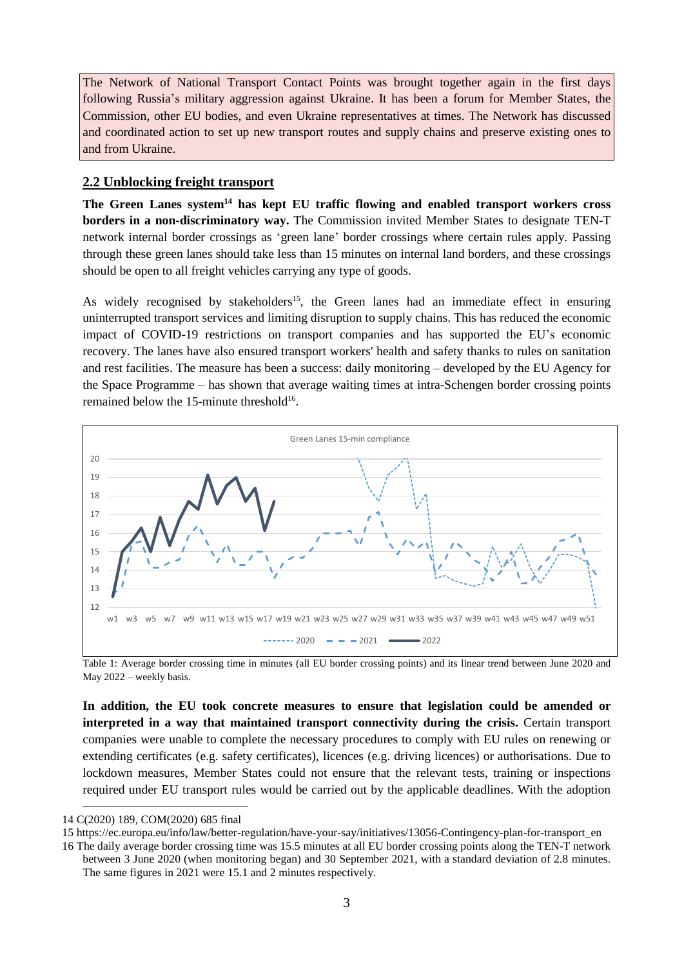The Network of National Transport Contact Points was brought together again in the first days following Russia's military aggression against Ukraine. It has been a forum for Member States, the Commission, other EU bodies, and even Ukraine representatives at times. The Network has discussed and coordinated action to set up new transport routes and supply chains and preserve existing ones to and from Ukraine.

# **2.2 Unblocking freight transport**

**The Green Lanes system<sup>14</sup> has kept EU traffic flowing and enabled transport workers cross borders in a non-discriminatory way.** The Commission invited Member States to designate TEN-T network internal border crossings as 'green lane' border crossings where certain rules apply. Passing through these green lanes should take less than 15 minutes on internal land borders, and these crossings should be open to all freight vehicles carrying any type of goods.

As widely recognised by stakeholders<sup>15</sup>, the Green lanes had an immediate effect in ensuring uninterrupted transport services and limiting disruption to supply chains. This has reduced the economic impact of COVID-19 restrictions on transport companies and has supported the EU's economic recovery. The lanes have also ensured transport workers' health and safety thanks to rules on sanitation and rest facilities. The measure has been a success: daily monitoring – developed by the EU Agency for the Space Programme – has shown that average waiting times at intra-Schengen border crossing points remained below the 15-minute threshold<sup>16</sup>.



Table 1: Average border crossing time in minutes (all EU border crossing points) and its linear trend between June 2020 and May 2022 – weekly basis.

**In addition, the EU took concrete measures to ensure that legislation could be amended or interpreted in a way that maintained transport connectivity during the crisis.** Certain transport companies were unable to complete the necessary procedures to comply with EU rules on renewing or extending certificates (e.g. safety certificates), licences (e.g. driving licences) or authorisations. Due to lockdown measures, Member States could not ensure that the relevant tests, training or inspections required under EU transport rules would be carried out by the applicable deadlines. With the adoption

<sup>14</sup> C(2020) 189, COM(2020) 685 final

<sup>15</sup> https://ec.europa.eu/info/law/better-regulation/have-your-say/initiatives/13056-Contingency-plan-for-transport\_en

<sup>16</sup> The daily average border crossing time was 15.5 minutes at all EU border crossing points along the TEN-T network between 3 June 2020 (when monitoring began) and 30 September 2021, with a standard deviation of 2.8 minutes. The same figures in 2021 were 15.1 and 2 minutes respectively.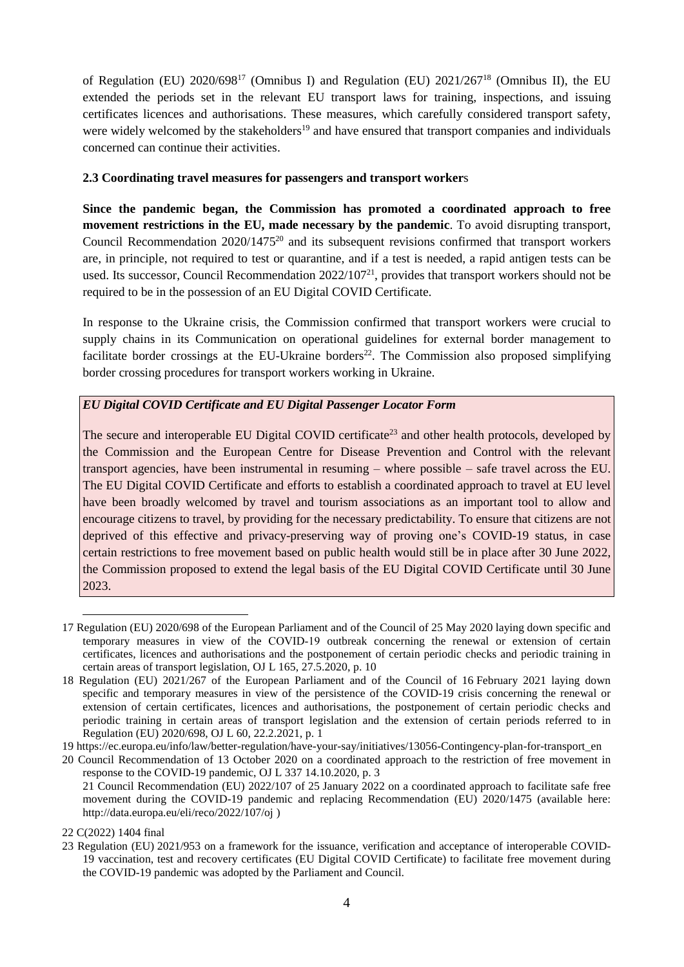of Regulation (EU)  $2020/698^{17}$  (Omnibus I) and Regulation (EU)  $2021/267^{18}$  (Omnibus II), the EU extended the periods set in the relevant EU transport laws for training, inspections, and issuing certificates licences and authorisations. These measures, which carefully considered transport safety, were widely welcomed by the stakeholders<sup>19</sup> and have ensured that transport companies and individuals concerned can continue their activities.

### **2.3 Coordinating travel measures for passengers and transport worker**s

**Since the pandemic began, the Commission has promoted a coordinated approach to free movement restrictions in the EU, made necessary by the pandemic**. To avoid disrupting transport, Council Recommendation 2020/1475<sup>20</sup> and its subsequent revisions confirmed that transport workers are, in principle, not required to test or quarantine, and if a test is needed, a rapid antigen tests can be used. Its successor, Council Recommendation 2022/107<sup>21</sup>, provides that transport workers should not be required to be in the possession of an EU Digital COVID Certificate.

In response to the Ukraine crisis, the Commission confirmed that transport workers were crucial to supply chains in its Communication on operational guidelines for external border management to facilitate border crossings at the EU-Ukraine borders<sup>22</sup>. The Commission also proposed simplifying border crossing procedures for transport workers working in Ukraine.

# *EU Digital COVID Certificate and EU Digital Passenger Locator Form*

The secure and interoperable EU Digital COVID certificate<sup>23</sup> and other health protocols, developed by the Commission and the European Centre for Disease Prevention and Control with the relevant transport agencies, have been instrumental in resuming – where possible – safe travel across the EU. The EU Digital COVID Certificate and efforts to establish a coordinated approach to travel at EU level have been broadly welcomed by travel and tourism associations as an important tool to allow and encourage citizens to travel, by providing for the necessary predictability. To ensure that citizens are not deprived of this effective and privacy-preserving way of proving one's COVID-19 status, in case certain restrictions to free movement based on public health would still be in place after 30 June 2022, the Commission proposed to extend the legal basis of the EU Digital COVID Certificate until 30 June 2023.

19 https://ec.europa.eu/info/law/better-regulation/have-your-say/initiatives/13056-Contingency-plan-for-transport\_en

<sup>17</sup> Regulation (EU) 2020/698 of the European Parliament and of the Council of 25 May 2020 laying down specific and temporary measures in view of the COVID‐19 outbreak concerning the renewal or extension of certain certificates, licences and authorisations and the postponement of certain periodic checks and periodic training in certain areas of transport legislation, OJ L 165, 27.5.2020, p. 10

<sup>18</sup> Regulation (EU) 2021/267 of the European Parliament and of the Council of 16 February 2021 laying down specific and temporary measures in view of the persistence of the COVID-19 crisis concerning the renewal or extension of certain certificates, licences and authorisations, the postponement of certain periodic checks and periodic training in certain areas of transport legislation and the extension of certain periods referred to in Regulation (EU) 2020/698, OJ L 60, 22.2.2021, p. 1

<sup>20</sup> Council Recommendation of 13 October 2020 on a coordinated approach to the restriction of free movement in response to the COVID-19 pandemic, OJ L 337 14.10.2020, p. 3

<sup>21</sup> Council Recommendation (EU) 2022/107 of 25 January 2022 on a coordinated approach to facilitate safe free movement during the COVID-19 pandemic and replacing Recommendation (EU) 2020/1475 (available here: <http://data.europa.eu/eli/reco/2022/107/oj> )

<sup>22</sup> C(2022) 1404 final

<sup>23</sup> Regulation (EU) 2021/953 on a framework for the issuance, verification and acceptance of interoperable COVID-19 vaccination, test and recovery certificates (EU Digital COVID Certificate) to facilitate free movement during the COVID-19 pandemic was adopted by the Parliament and Council.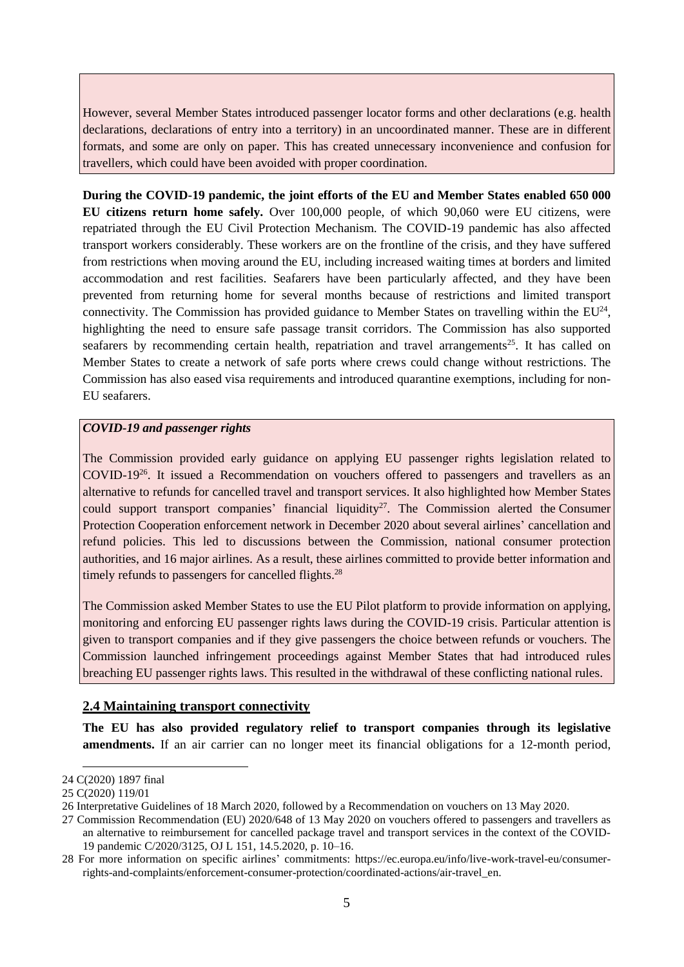However, several Member States introduced passenger locator forms and other declarations (e.g. health declarations, declarations of entry into a territory) in an uncoordinated manner. These are in different formats, and some are only on paper. This has created unnecessary inconvenience and confusion for travellers, which could have been avoided with proper coordination.

**During the COVID-19 pandemic, the joint efforts of the EU and Member States enabled 650 000 EU citizens return home safely.** Over 100,000 people, of which 90,060 were EU citizens, were repatriated through the EU Civil Protection Mechanism. The COVID-19 pandemic has also affected transport workers considerably. These workers are on the frontline of the crisis, and they have suffered from restrictions when moving around the EU, including increased waiting times at borders and limited accommodation and rest facilities. Seafarers have been particularly affected, and they have been prevented from returning home for several months because of restrictions and limited transport connectivity. The Commission has provided guidance to Member States on travelling within the  $EU^{24}$ , highlighting the need to ensure safe passage transit corridors. The Commission has also supported seafarers by recommending certain health, repatriation and travel arrangements<sup>25</sup>. It has called on Member States to create a network of safe ports where crews could change without restrictions. The Commission has also eased visa requirements and introduced quarantine exemptions, including for non-EU seafarers.

# *COVID-19 and passenger rights*

The Commission provided early guidance on applying EU passenger rights legislation related to COVID-19<sup>26</sup> . It issued a Recommendation on vouchers offered to passengers and travellers as an alternative to refunds for cancelled travel and transport services. It also highlighted how Member States could support transport companies' financial liquidity<sup>27</sup>. The Commission alerted the [Consumer](https://ec.europa.eu/info/live-work-travel-eu/consumer-rights-and-complaints/enforcement-consumer-protection/consumer-protection-cooperation-network_en) Protection [Cooperation](https://ec.europa.eu/info/live-work-travel-eu/consumer-rights-and-complaints/enforcement-consumer-protection/consumer-protection-cooperation-network_en) enforcement network in December 2020 about several airlines' cancellation and refund policies. This led to discussions between the Commission, national consumer protection authorities, and 16 major airlines. As a result, these airlines committed to provide better information and timely refunds to passengers for cancelled flights.<sup>28</sup>

The Commission asked Member States to use the EU Pilot platform to provide information on applying, monitoring and enforcing EU passenger rights laws during the COVID-19 crisis. Particular attention is given to transport companies and if they give passengers the choice between refunds or vouchers. The Commission launched infringement proceedings against Member States that had introduced rules breaching EU passenger rights laws. This resulted in the withdrawal of these conflicting national rules.

# **2.4 Maintaining transport connectivity**

**The EU has also provided regulatory relief to transport companies through its legislative amendments.** If an air carrier can no longer meet its financial obligations for a 12-month period,

<sup>24</sup> C(2020) 1897 final

<sup>25</sup> C(2020) 119/01

<sup>26</sup> Interpretative Guidelines of 18 March 2020, followed by a Recommendation on vouchers on 13 May 2020.

<sup>27</sup> Commission Recommendation (EU) 2020/648 of 13 May 2020 on vouchers offered to passengers and travellers as an alternative to reimbursement for cancelled package travel and transport services in the context of the COVID-19 pandemic C/2020/3125, OJ L 151, 14.5.2020, p. 10–16.

<sup>28</sup> For more information on specific airlines' commitments: https://ec.europa.eu/info/live-work-travel-eu/consumerrights-and-complaints/enforcement-consumer-protection/coordinated-actions/air-travel\_en.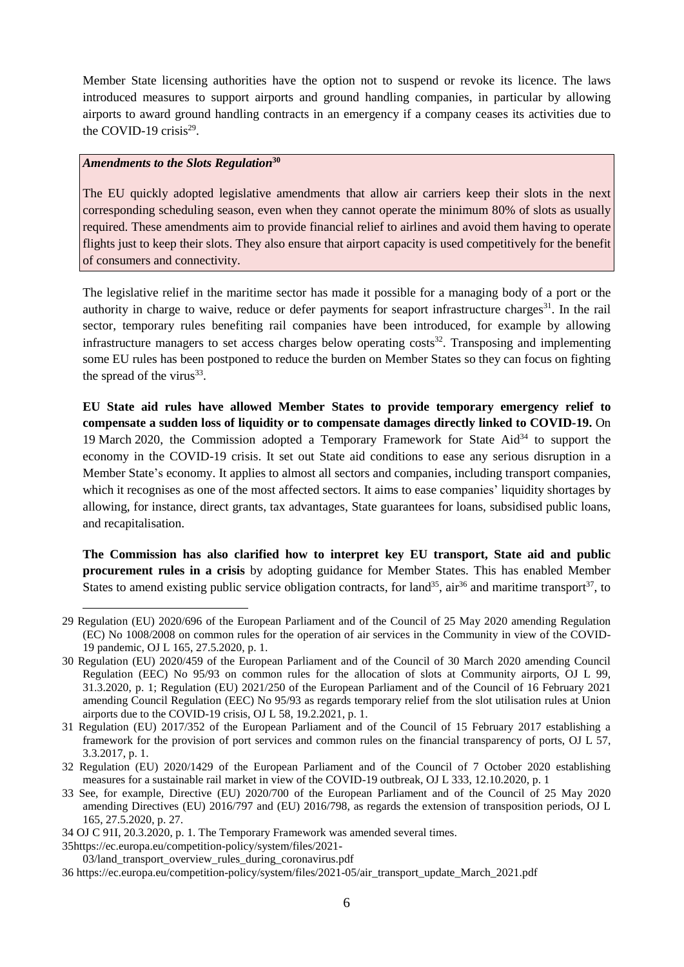Member State licensing authorities have the option not to suspend or revoke its licence. The laws introduced measures to support airports and ground handling companies, in particular by allowing airports to award ground handling contracts in an emergency if a company ceases its activities due to the COVID-19 crisis $29$ .

# *Amendments to the Slots Regulation***<sup>30</sup>**

The EU quickly adopted legislative amendments that allow air carriers keep their slots in the next corresponding scheduling season, even when they cannot operate the minimum 80% of slots as usually required. These amendments aim to provide financial relief to airlines and avoid them having to operate flights just to keep their slots. They also ensure that airport capacity is used competitively for the benefit of consumers and connectivity.

The legislative relief in the maritime sector has made it possible for a managing body of a port or the authority in charge to waive, reduce or defer payments for seaport infrastructure charges $31$ . In the rail sector, temporary rules benefiting rail companies have been introduced, for example by allowing infrastructure managers to set access charges below operating costs<sup>32</sup>. Transposing and implementing some EU rules has been postponed to reduce the burden on Member States so they can focus on fighting the spread of the virus $^{33}$ .

**EU State aid rules have allowed Member States to provide temporary emergency relief to compensate a sudden loss of liquidity or to compensate damages directly linked to COVID-19.** On 19 March 2020, the Commission adopted a Temporary Framework for State Aid<sup>34</sup> to support the economy in the COVID-19 crisis. It set out State aid conditions to ease any serious disruption in a Member State's economy. It applies to almost all sectors and companies, including transport companies, which it recognises as one of the most affected sectors. It aims to ease companies' liquidity shortages by allowing, for instance, direct grants, tax advantages, State guarantees for loans, subsidised public loans, and recapitalisation.

**The Commission has also clarified how to interpret key EU transport, State aid and public procurement rules in a crisis** by adopting guidance for Member States. This has enabled Member States to amend existing public service obligation contracts, for land<sup>35</sup>, air<sup>36</sup> and maritime transport<sup>37</sup>, to

<u>.</u>

<sup>29</sup> Regulation (EU) 2020/696 of the European Parliament and of the Council of 25 May 2020 amending Regulation (EC) No 1008/2008 on common rules for the operation of air services in the Community in view of the COVID-19 pandemic, OJ L 165, 27.5.2020, p. 1.

<sup>30</sup> Regulation (EU) 2020/459 of the European Parliament and of the Council of 30 March 2020 amending Council Regulation (EEC) No 95/93 on common rules for the allocation of slots at Community airports, OJ L 99, 31.3.2020, p. 1; Regulation (EU) 2021/250 of the European Parliament and of the Council of 16 February 2021 amending Council Regulation (EEC) No 95/93 as regards temporary relief from the slot utilisation rules at Union airports due to the COVID-19 crisis, OJ L 58, 19.2.2021, p. 1.

<sup>31</sup> Regulation (EU) 2017/352 of the European Parliament and of the Council of 15 February 2017 establishing a framework for the provision of port services and common rules on the financial transparency of ports, OJ L 57, 3.3.2017, p. 1.

<sup>32</sup> Regulation (EU) 2020/1429 of the European Parliament and of the Council of 7 October 2020 establishing measures for a sustainable rail market in view of the COVID-19 outbreak, OJ L 333, 12.10.2020, p. 1

<sup>33</sup> See, for example, Directive (EU) 2020/700 of the European Parliament and of the Council of 25 May 2020 amending Directives (EU) 2016/797 and (EU) 2016/798, as regards the extension of transposition periods, OJ L 165, 27.5.2020, p. 27.

<sup>34</sup> OJ C 91I, 20.3.2020, p. 1. The Temporary Framework was amended several times.

<sup>3</sup>[5https://ec.europa.eu/competition-policy/system/files/2021-](https://ec.europa.eu/competition-policy/system/files/2021-03/land_transport_overview_rules_during_coronavirus.pdf) [03/land\\_transport\\_overview\\_rules\\_during\\_coronavirus.pdf](https://ec.europa.eu/competition-policy/system/files/2021-03/land_transport_overview_rules_during_coronavirus.pdf)

<sup>36</sup> https://ec.europa.eu/competition-policy/system/files/2021-05/air\_transport\_update\_March\_2021.pdf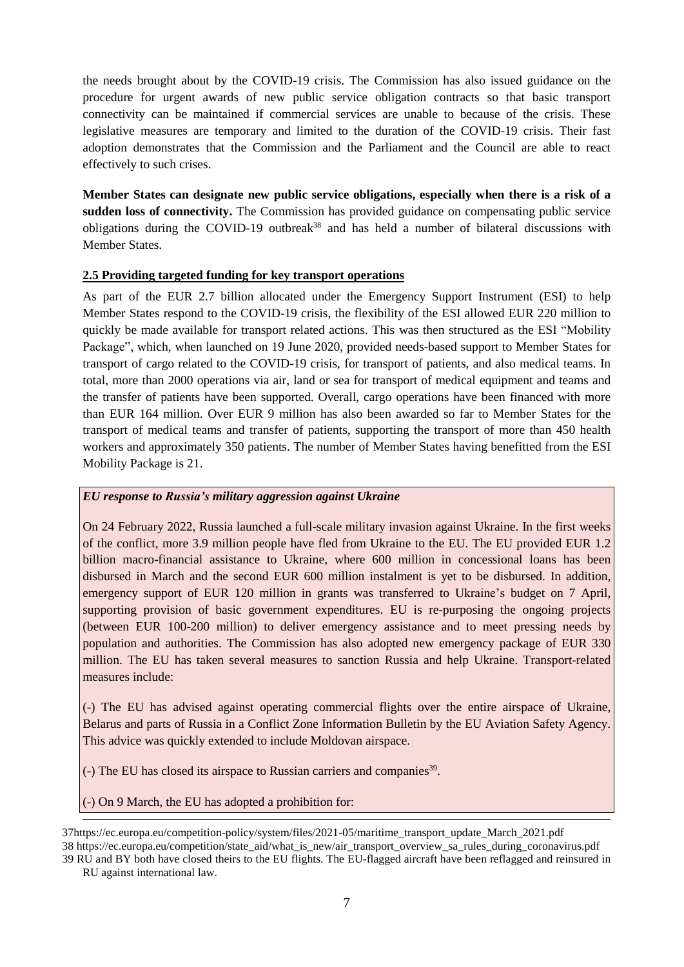the needs brought about by the COVID-19 crisis. The Commission has also issued guidance on the procedure for urgent awards of new public service obligation contracts so that basic transport connectivity can be maintained if commercial services are unable to because of the crisis. These legislative measures are temporary and limited to the duration of the COVID-19 crisis. Their fast adoption demonstrates that the Commission and the Parliament and the Council are able to react effectively to such crises.

**Member States can designate new public service obligations, especially when there is a risk of a sudden loss of connectivity.** The Commission has provided guidance on compensating public service obligations during the COVID-19 outbreak<sup>38</sup> and has held a number of bilateral discussions with Member States.

# **2.5 Providing targeted funding for key transport operations**

As part of the EUR 2.7 billion allocated under the Emergency Support Instrument (ESI) to help Member States respond to the COVID-19 crisis, the flexibility of the ESI allowed EUR 220 million to quickly be made available for transport related actions. This was then structured as the ESI "Mobility Package", which, when launched on 19 June 2020, provided needs-based support to Member States for transport of cargo related to the COVID-19 crisis, for transport of patients, and also medical teams. In total, more than 2000 operations via air, land or sea for transport of medical equipment and teams and the transfer of patients have been supported. Overall, cargo operations have been financed with more than EUR 164 million. Over EUR 9 million has also been awarded so far to Member States for the transport of medical teams and transfer of patients, supporting the transport of more than 450 health workers and approximately 350 patients. The number of Member States having benefitted from the ESI Mobility Package is 21.

# *EU response to Russia's military aggression against Ukraine*

On 24 February 2022, Russia launched a full-scale military invasion against Ukraine. In the first weeks of the conflict, more 3.9 million people have fled from Ukraine to the EU. The EU provided EUR 1.2 billion macro-financial assistance to Ukraine, where 600 million in concessional loans has been disbursed in March and the second EUR 600 million instalment is yet to be disbursed. In addition, emergency support of EUR 120 million in grants was transferred to Ukraine's budget on 7 April, supporting provision of basic government expenditures. EU is re-purposing the ongoing projects (between EUR 100-200 million) to deliver emergency assistance and to meet pressing needs by population and authorities. The Commission has also adopted new emergency package of EUR 330 million. The EU has taken several measures to sanction Russia and help Ukraine. Transport-related measures include:

(-) The EU has advised against operating commercial flights over the entire airspace of Ukraine, Belarus and parts of Russia in a Conflict Zone Information Bulletin by the EU Aviation Safety Agency. This advice was quickly extended to include Moldovan airspace.

(-) The EU has closed its airspace to Russian carriers and companies<sup>39</sup>.

(-) On 9 March, the EU has adopted a prohibition for:

Ī

<sup>37</sup>https://ec.europa.eu/competition-policy/system/files/2021-05/maritime\_transport\_update\_March\_2021.pdf 38 https://ec.europa.eu/competition/state\_aid/what\_is\_new/air\_transport\_overview\_sa\_rules\_during\_coronavirus.pdf

<sup>39</sup> RU and BY both have closed theirs to the EU flights. The EU-flagged aircraft have been reflagged and reinsured in RU against international law.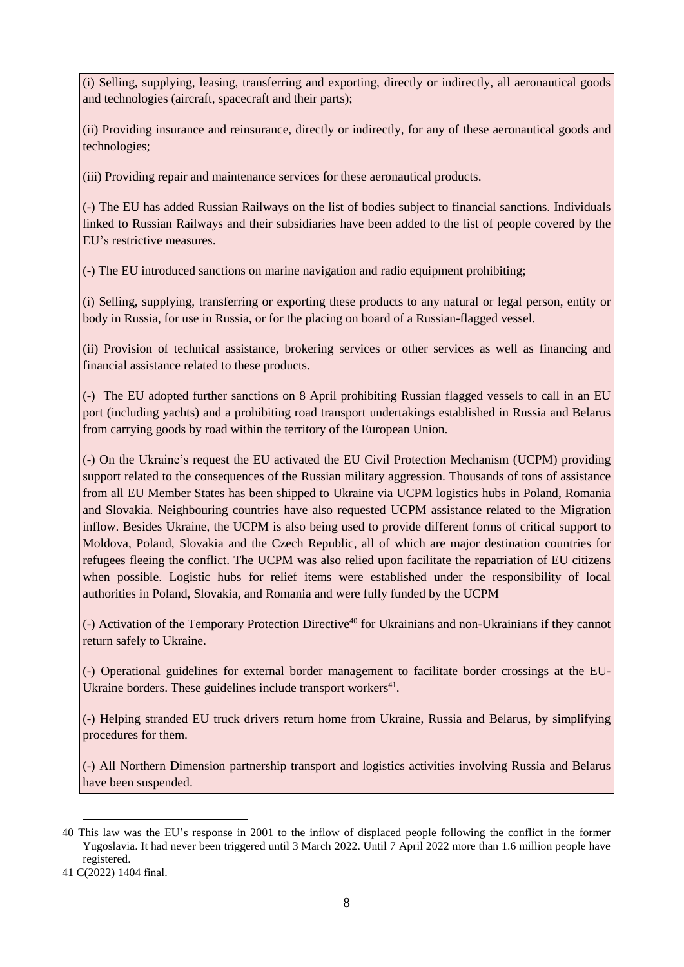(i) Selling, supplying, leasing, transferring and exporting, directly or indirectly, all aeronautical goods and technologies (aircraft, spacecraft and their parts);

(ii) Providing insurance and reinsurance, directly or indirectly, for any of these aeronautical goods and technologies;

(iii) Providing repair and maintenance services for these aeronautical products.

(-) The EU has added Russian Railways on the list of bodies subject to financial sanctions. Individuals linked to Russian Railways and their subsidiaries have been added to the list of people covered by the EU's restrictive measures.

(-) The EU introduced sanctions on marine navigation and radio equipment prohibiting;

(i) Selling, supplying, transferring or exporting these products to any natural or legal person, entity or body in Russia, for use in Russia, or for the placing on board of a Russian-flagged vessel.

(ii) Provision of technical assistance, brokering services or other services as well as financing and financial assistance related to these products.

(-) The EU adopted further sanctions on 8 April prohibiting Russian flagged vessels to call in an EU port (including yachts) and a prohibiting road transport undertakings established in Russia and Belarus from carrying goods by road within the territory of the European Union.

(-) On the Ukraine's request the EU activated the EU Civil Protection Mechanism (UCPM) providing support related to the consequences of the Russian military aggression. Thousands of tons of assistance from all EU Member States has been shipped to Ukraine via UCPM logistics hubs in Poland, Romania and Slovakia. Neighbouring countries have also requested UCPM assistance related to the Migration inflow. Besides Ukraine, the UCPM is also being used to provide different forms of critical support to Moldova, Poland, Slovakia and the Czech Republic, all of which are major destination countries for refugees fleeing the conflict. The UCPM was also relied upon facilitate the repatriation of EU citizens when possible. Logistic hubs for relief items were established under the responsibility of local authorities in Poland, Slovakia, and Romania and were fully funded by the UCPM

(-) Activation of the Temporary Protection Directive<sup>40</sup> for Ukrainians and non-Ukrainians if they cannot return safely to Ukraine.

(-) Operational guidelines for external border management to facilitate border crossings at the EU-Ukraine borders. These guidelines include transport workers $41$ .

(-) Helping stranded EU truck drivers return home from Ukraine, Russia and Belarus, by simplifying procedures for them.

(-) All Northern Dimension partnership transport and logistics activities involving Russia and Belarus have been suspended.

<sup>1</sup> 40 This law was the EU's response in 2001 to the inflow of displaced people following the conflict in the former Yugoslavia. It had never been triggered until 3 March 2022. Until 7 April 2022 more than 1.6 million people have registered.

<sup>41</sup> C(2022) 1404 final.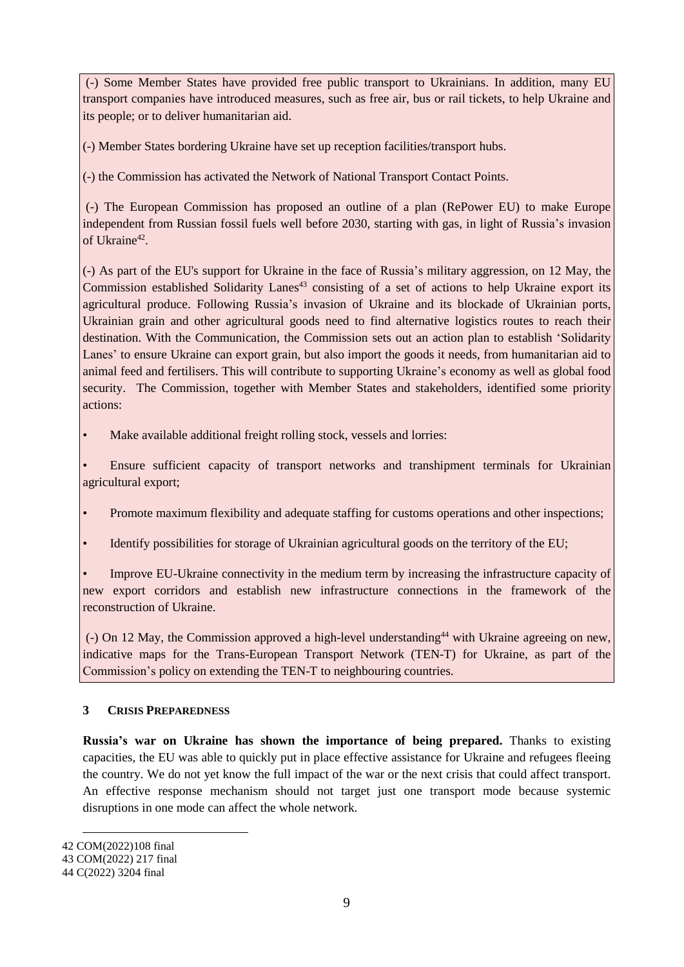(-) Some Member States have provided free public transport to Ukrainians. In addition, many EU transport companies have introduced measures, such as free air, bus or rail tickets, to help Ukraine and its people; or to deliver humanitarian aid.

(-) Member States bordering Ukraine have set up reception facilities/transport hubs.

(-) the Commission has activated the Network of National Transport Contact Points.

(-) The European Commission has proposed an outline of a plan (RePower EU) to make Europe independent from Russian fossil fuels well before 2030, starting with gas, in light of Russia's invasion of Ukraine<sup>42</sup>.

(-) As part of the EU's support for Ukraine in the face of Russia's military aggression, on 12 May, the Commission established Solidarity Lanes<sup>43</sup> consisting of a set of actions to help Ukraine export its agricultural produce. Following Russia's invasion of Ukraine and its blockade of Ukrainian ports, Ukrainian grain and other agricultural goods need to find alternative logistics routes to reach their destination. With the Communication, the Commission sets out an action plan to establish 'Solidarity Lanes' to ensure Ukraine can export grain, but also import the goods it needs, from humanitarian aid to animal feed and fertilisers. This will contribute to supporting Ukraine's economy as well as global food security. The Commission, together with Member States and stakeholders, identified some priority actions:

Make available additional freight rolling stock, vessels and lorries:

• Ensure sufficient capacity of transport networks and transhipment terminals for Ukrainian agricultural export;

- Promote maximum flexibility and adequate staffing for customs operations and other inspections;
- Identify possibilities for storage of Ukrainian agricultural goods on the territory of the EU;

• Improve EU-Ukraine connectivity in the medium term by increasing the infrastructure capacity of new export corridors and establish new infrastructure connections in the framework of the reconstruction of Ukraine.

(-) On 12 May, the Commission approved a high-level understanding<sup>44</sup> with Ukraine agreeing on new, indicative maps for the Trans-European Transport Network (TEN-T) for Ukraine, as part of the Commission's policy on extending the TEN-T to neighbouring countries.

# **3 CRISIS PREPAREDNESS**

**Russia's war on Ukraine has shown the importance of being prepared.** Thanks to existing capacities, the EU was able to quickly put in place effective assistance for Ukraine and refugees fleeing the country. We do not yet know the full impact of the war or the next crisis that could affect transport. An effective response mechanism should not target just one transport mode because systemic disruptions in one mode can affect the whole network.

<sup>42</sup> COM(2022)108 final

<sup>43</sup> COM(2022) 217 final

<sup>44</sup> C(2022) 3204 final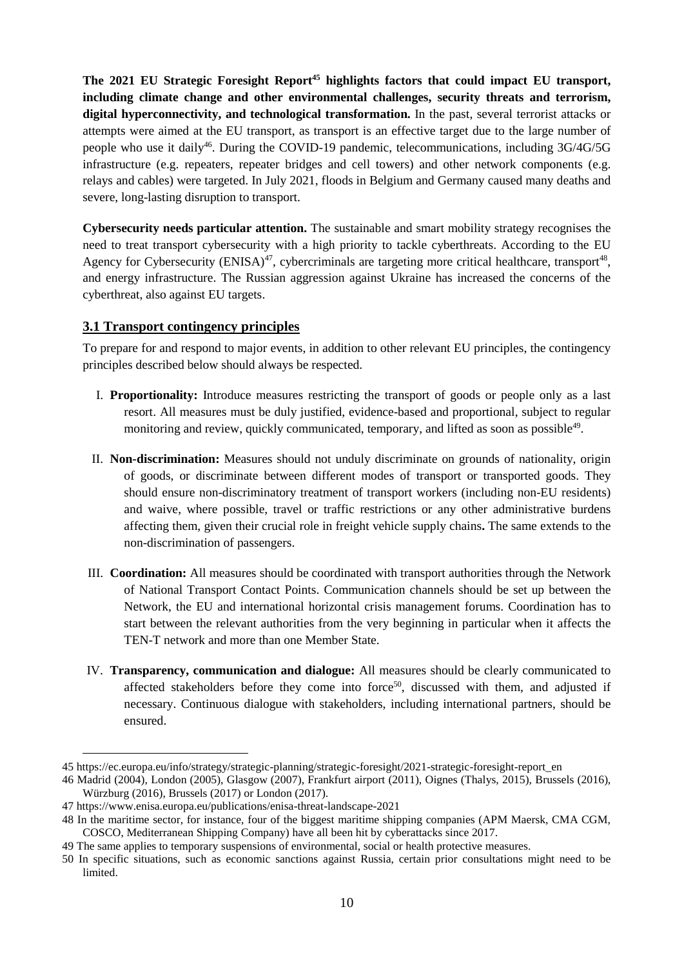**The 2021 EU Strategic Foresight Report<sup>45</sup> highlights factors that could impact EU transport, including climate change and other environmental challenges, security threats and terrorism, digital hyperconnectivity, and technological transformation.** In the past, several terrorist attacks or attempts were aimed at the EU transport, as transport is an effective target due to the large number of people who use it daily<sup>46</sup>. During the COVID-19 pandemic, telecommunications, including 3G/4G/5G infrastructure (e.g. repeaters, repeater bridges and cell towers) and other network components (e.g. relays and cables) were targeted. In July 2021, floods in Belgium and Germany caused many deaths and severe, long-lasting disruption to transport.

**Cybersecurity needs particular attention.** The sustainable and smart mobility strategy recognises the need to treat transport cybersecurity with a high priority to tackle cyberthreats. According to the EU Agency for Cybersecurity (ENISA)<sup>47</sup>, cybercriminals are targeting more critical healthcare, transport<sup>48</sup>, and energy infrastructure. The Russian aggression against Ukraine has increased the concerns of the cyberthreat, also against EU targets.

# **3.1 Transport contingency principles**

To prepare for and respond to major events, in addition to other relevant EU principles, the contingency principles described below should always be respected.

- I. **Proportionality:** Introduce measures restricting the transport of goods or people only as a last resort. All measures must be duly justified, evidence-based and proportional, subject to regular monitoring and review, quickly communicated, temporary, and lifted as soon as possible<sup>49</sup>.
- II. **Non-discrimination:** Measures should not unduly discriminate on grounds of nationality, origin of goods, or discriminate between different modes of transport or transported goods. They should ensure non-discriminatory treatment of transport workers (including non-EU residents) and waive, where possible, travel or traffic restrictions or any other administrative burdens affecting them, given their crucial role in freight vehicle supply chains**.** The same extends to the non-discrimination of passengers.
- III. **Coordination:** All measures should be coordinated with transport authorities through the Network of National Transport Contact Points. Communication channels should be set up between the Network, the EU and international horizontal crisis management forums. Coordination has to start between the relevant authorities from the very beginning in particular when it affects the TEN-T network and more than one Member State.
- IV. **Transparency, communication and dialogue:** All measures should be clearly communicated to affected stakeholders before they come into force<sup>50</sup>, discussed with them, and adjusted if necessary. Continuous dialogue with stakeholders, including international partners, should be ensured.

<sup>45</sup> [https://ec.europa.eu/info/strategy/strategic-planning/strategic-foresight/2021-strategic-foresight-report\\_en](https://ec.europa.eu/info/strategy/strategic-planning/strategic-foresight/2021-strategic-foresight-report_en)

<sup>46</sup> Madrid (2004), London (2005), Glasgow (2007), Frankfurt airport (2011), Oignes (Thalys, 2015), Brussels (2016), Würzburg (2016), Brussels (2017) or London (2017).

<sup>47</sup> <https://www.enisa.europa.eu/publications/enisa-threat-landscape-2021>

<sup>48</sup> In the maritime sector, for instance, four of the biggest maritime shipping companies (APM Maersk, CMA CGM, COSCO, Mediterranean Shipping Company) have all been hit by cyberattacks since 2017.

<sup>49</sup> The same applies to temporary suspensions of environmental, social or health protective measures.

<sup>50</sup> In specific situations, such as economic sanctions against Russia, certain prior consultations might need to be limited.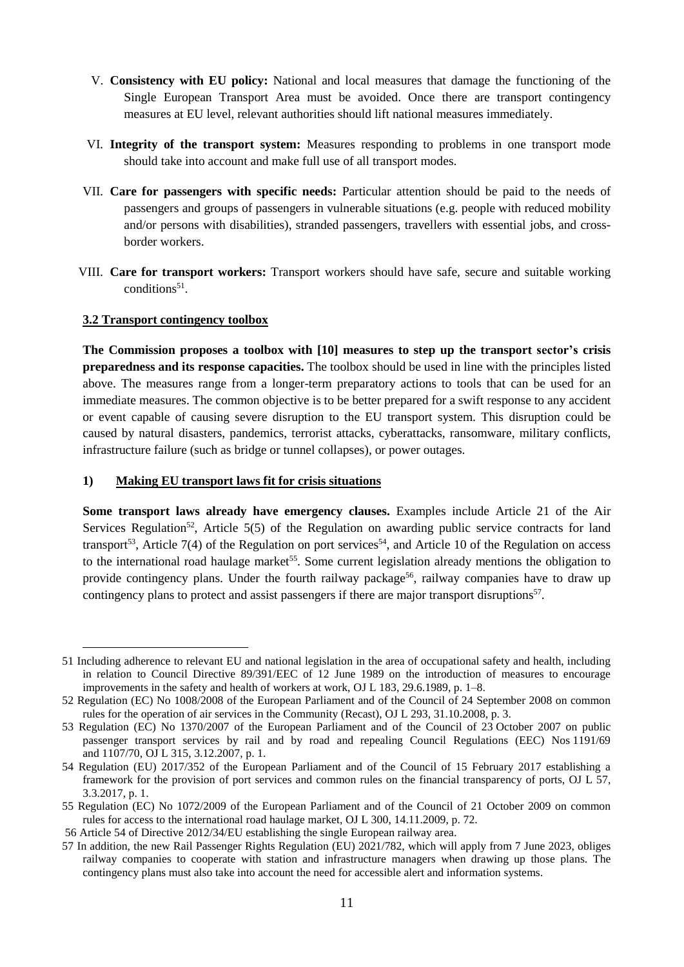- V. **Consistency with EU policy:** National and local measures that damage the functioning of the Single European Transport Area must be avoided. Once there are transport contingency measures at EU level, relevant authorities should lift national measures immediately.
- VI. **Integrity of the transport system:** Measures responding to problems in one transport mode should take into account and make full use of all transport modes.
- VII. **Care for passengers with specific needs:** Particular attention should be paid to the needs of passengers and groups of passengers in vulnerable situations (e.g. people with reduced mobility and/or persons with disabilities), stranded passengers, travellers with essential jobs, and crossborder workers.
- VIII. **Care for transport workers:** Transport workers should have safe, secure and suitable working conditions<sup>51</sup>.

# **3.2 Transport contingency toolbox**

1

**The Commission proposes a toolbox with [10] measures to step up the transport sector's crisis preparedness and its response capacities.** The toolbox should be used in line with the principles listed above. The measures range from a longer-term preparatory actions to tools that can be used for an immediate measures. The common objective is to be better prepared for a swift response to any accident or event capable of causing severe disruption to the EU transport system. This disruption could be caused by natural disasters, pandemics, terrorist attacks, cyberattacks, ransomware, military conflicts, infrastructure failure (such as bridge or tunnel collapses), or power outages.

# **1) Making EU transport laws fit for crisis situations**

**Some transport laws already have emergency clauses.** Examples include Article 21 of the Air Services Regulation<sup>52</sup>, Article 5(5) of the Regulation on awarding public service contracts for land transport<sup>53</sup>, Article 7(4) of the Regulation on port services<sup>54</sup>, and Article 10 of the Regulation on access to the international road haulage market<sup>55</sup>. Some current legislation already mentions the obligation to provide contingency plans. Under the fourth railway package<sup>56</sup>, railway companies have to draw up contingency plans to protect and assist passengers if there are major transport disruptions<sup>57</sup>.

<sup>51</sup> Including adherence to relevant EU and national legislation in the area of occupational safety and health, including in relation to Council Directive 89/391/EEC of 12 June 1989 on the introduction of measures to encourage improvements in the safety and health of workers at work, OJ L 183, 29.6.1989, p. 1–8.

<sup>52</sup> Regulation (EC) No 1008/2008 of the European Parliament and of the Council of 24 September 2008 on common rules for the operation of air services in the Community (Recast), OJ L 293, 31.10.2008, p. 3.

<sup>53</sup> Regulation (EC) No 1370/2007 of the European Parliament and of the Council of 23 October 2007 on public passenger transport services by rail and by road and repealing Council Regulations (EEC) Nos 1191/69 and 1107/70, OJ L 315, 3.12.2007, p. 1.

<sup>54</sup> Regulation (EU) 2017/352 of the European Parliament and of the Council of 15 February 2017 establishing a framework for the provision of port services and common rules on the financial transparency of ports, OJ L 57, 3.3.2017, p. 1.

<sup>55</sup> Regulation (EC) No 1072/2009 of the European Parliament and of the Council of 21 October 2009 on common rules for access to the international road haulage market, OJ L 300, 14.11.2009, p. 72.

<sup>56</sup> Article 54 of Directive 2012/34/EU establishing the single European railway area.

<sup>57</sup> In addition, the new Rail Passenger Rights Regulation (EU) 2021/782, which will apply from 7 June 2023, obliges railway companies to cooperate with station and infrastructure managers when drawing up those plans. The contingency plans must also take into account the need for accessible alert and information systems.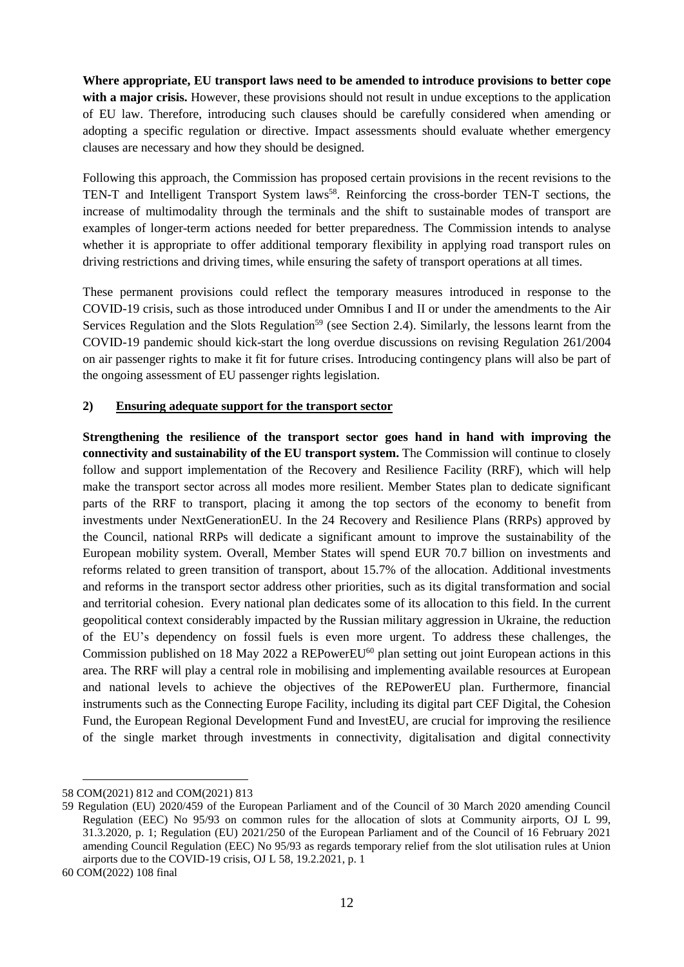**Where appropriate, EU transport laws need to be amended to introduce provisions to better cope with a major crisis.** However, these provisions should not result in undue exceptions to the application of EU law. Therefore, introducing such clauses should be carefully considered when amending or adopting a specific regulation or directive. Impact assessments should evaluate whether emergency clauses are necessary and how they should be designed.

Following this approach, the Commission has proposed certain provisions in the recent revisions to the TEN-T and Intelligent Transport System laws<sup>58</sup>. Reinforcing the cross-border TEN-T sections, the increase of multimodality through the terminals and the shift to sustainable modes of transport are examples of longer-term actions needed for better preparedness. The Commission intends to analyse whether it is appropriate to offer additional temporary flexibility in applying road transport rules on driving restrictions and driving times, while ensuring the safety of transport operations at all times.

These permanent provisions could reflect the temporary measures introduced in response to the COVID-19 crisis, such as those introduced under Omnibus I and II or under the amendments to the Air Services Regulation and the Slots Regulation<sup>59</sup> (see Section 2.4). Similarly, the lessons learnt from the COVID-19 pandemic should kick-start the long overdue discussions on revising Regulation 261/2004 on air passenger rights to make it fit for future crises. Introducing contingency plans will also be part of the ongoing assessment of EU passenger rights legislation.

### **2) Ensuring adequate support for the transport sector**

**Strengthening the resilience of the transport sector goes hand in hand with improving the connectivity and sustainability of the EU transport system.** The Commission will continue to closely follow and support implementation of the Recovery and Resilience Facility (RRF), which will help make the transport sector across all modes more resilient. Member States plan to dedicate significant parts of the RRF to transport, placing it among the top sectors of the economy to benefit from investments under NextGenerationEU. In the 24 Recovery and Resilience Plans (RRPs) approved by the Council, national RRPs will dedicate a significant amount to improve the sustainability of the European mobility system. Overall, Member States will spend EUR 70.7 billion on investments and reforms related to green transition of transport, about 15.7% of the allocation. Additional investments and reforms in the transport sector address other priorities, such as its digital transformation and social and territorial cohesion. Every national plan dedicates some of its allocation to this field. In the current geopolitical context considerably impacted by the Russian military aggression in Ukraine, the reduction of the EU's dependency on fossil fuels is even more urgent. To address these challenges, the Commission published on 18 May 2022 a REPowerEU<sup>60</sup> plan setting out joint European actions in this area. The RRF will play a central role in mobilising and implementing available resources at European and national levels to achieve the objectives of the REPowerEU plan. Furthermore, financial instruments such as the Connecting Europe Facility, including its digital part CEF Digital, the Cohesion Fund, the European Regional Development Fund and InvestEU, are crucial for improving the resilience of the single market through investments in connectivity, digitalisation and digital connectivity

<u>.</u>

<sup>58</sup> COM(2021) 812 and COM(2021) 813

<sup>59</sup> Regulation (EU) 2020/459 of the European Parliament and of the Council of 30 March 2020 amending Council Regulation (EEC) No 95/93 on common rules for the allocation of slots at Community airports, OJ L 99, 31.3.2020, p. 1; Regulation (EU) 2021/250 of the European Parliament and of the Council of 16 February 2021 amending Council Regulation (EEC) No 95/93 as regards temporary relief from the slot utilisation rules at Union airports due to the COVID-19 crisis, OJ L 58, 19.2.2021, p. 1

<sup>60</sup> COM(2022) 108 final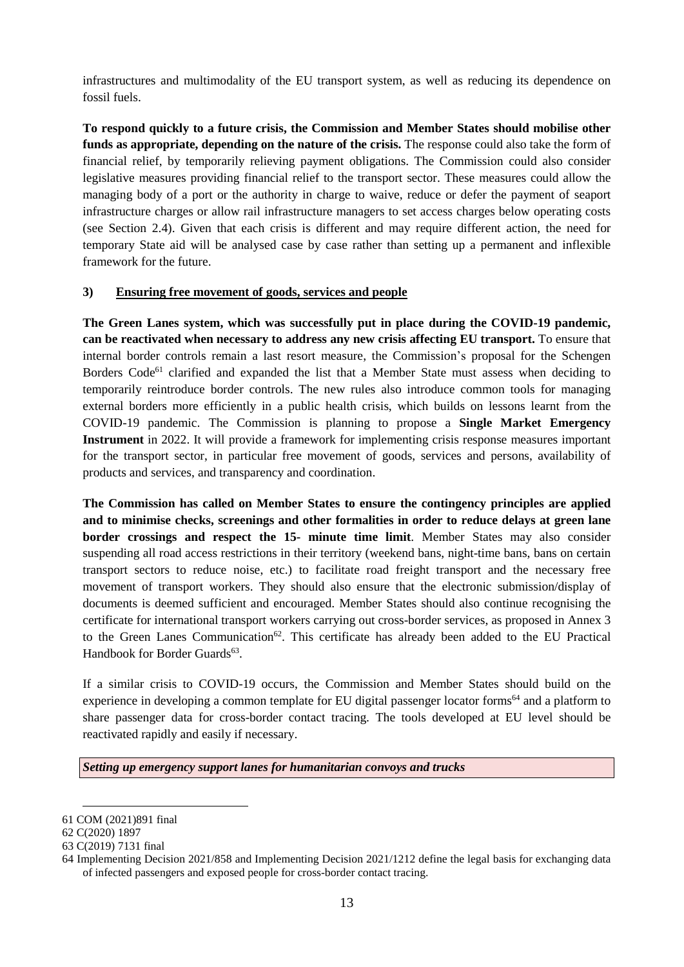infrastructures and multimodality of the EU transport system, as well as reducing its dependence on fossil fuels.

**To respond quickly to a future crisis, the Commission and Member States should mobilise other funds as appropriate, depending on the nature of the crisis.** The response could also take the form of financial relief, by temporarily relieving payment obligations. The Commission could also consider legislative measures providing financial relief to the transport sector. These measures could allow the managing body of a port or the authority in charge to waive, reduce or defer the payment of seaport infrastructure charges or allow rail infrastructure managers to set access charges below operating costs (see Section 2.4). Given that each crisis is different and may require different action, the need for temporary State aid will be analysed case by case rather than setting up a permanent and inflexible framework for the future.

# **3) Ensuring free movement of goods, services and people**

**The Green Lanes system, which was successfully put in place during the COVID-19 pandemic, can be reactivated when necessary to address any new crisis affecting EU transport.** To ensure that internal border controls remain a last resort measure, the Commission's proposal for the Schengen Borders Code<sup>61</sup> clarified and expanded the list that a Member State must assess when deciding to temporarily reintroduce border controls. The new rules also introduce common tools for managing external borders more efficiently in a public health crisis, which builds on lessons learnt from the COVID-19 pandemic. The Commission is planning to propose a **Single Market Emergency Instrument** in 2022. It will provide a framework for implementing crisis response measures important for the transport sector, in particular free movement of goods, services and persons, availability of products and services, and transparency and coordination.

**The Commission has called on Member States to ensure the contingency principles are applied and to minimise checks, screenings and other formalities in order to reduce delays at green lane border crossings and respect the 15- minute time limit**. Member States may also consider suspending all road access restrictions in their territory (weekend bans, night-time bans, bans on certain transport sectors to reduce noise, etc.) to facilitate road freight transport and the necessary free movement of transport workers. They should also ensure that the electronic submission/display of documents is deemed sufficient and encouraged. Member States should also continue recognising the certificate for international transport workers carrying out cross-border services, as proposed in Annex 3 to the Green Lanes Communication<sup>62</sup>. This certificate has already been added to the EU Practical Handbook for Border Guards<sup>63</sup>.

If a similar crisis to COVID-19 occurs, the Commission and Member States should build on the experience in developing a common template for EU digital passenger locator forms<sup>64</sup> and a platform to share passenger data for cross-border contact tracing. The tools developed at EU level should be reactivated rapidly and easily if necessary.

*Setting up emergency support lanes for humanitarian convoys and trucks*

<sup>61</sup> COM (2021)891 final

<sup>62</sup> C(2020) 1897

<sup>63</sup> C(2019) 7131 final

<sup>64</sup> Implementing Decision 2021/858 and Implementing Decision 2021/1212 define the legal basis for exchanging data of infected passengers and exposed people for cross-border contact tracing.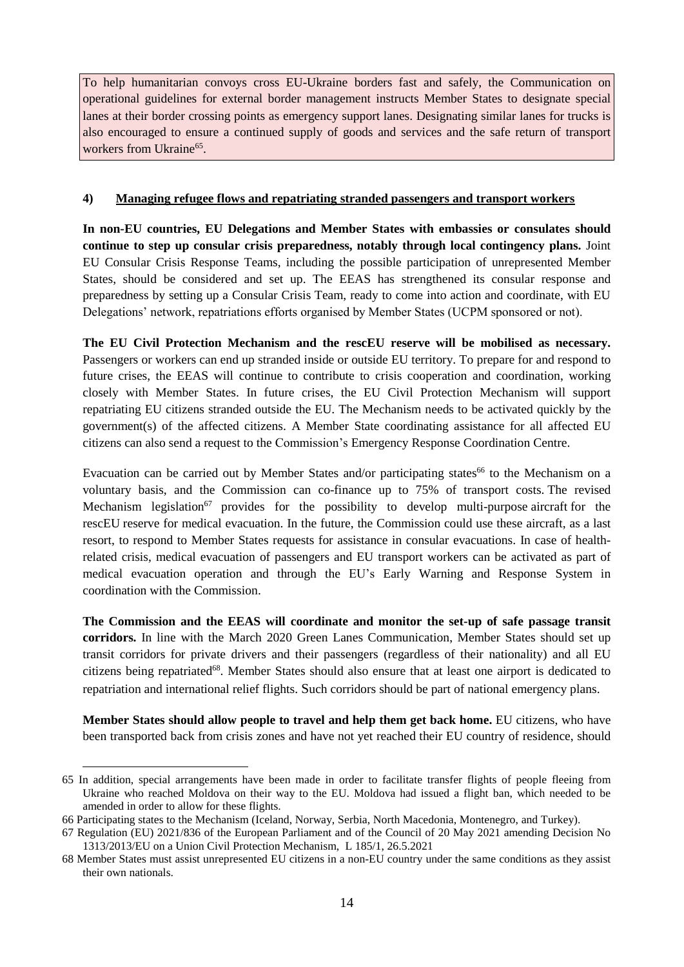To help humanitarian convoys cross EU-Ukraine borders fast and safely, the Communication on operational guidelines for external border management instructs Member States to designate special lanes at their border crossing points as emergency support lanes. Designating similar lanes for trucks is also encouraged to ensure a continued supply of goods and services and the safe return of transport workers from Ukraine<sup>65</sup>.

# **4) Managing refugee flows and repatriating stranded passengers and transport workers**

**In non-EU countries, EU Delegations and Member States with embassies or consulates should continue to step up consular crisis preparedness, notably through local contingency plans.** Joint EU Consular Crisis Response Teams, including the possible participation of unrepresented Member States, should be considered and set up. The EEAS has strengthened its consular response and preparedness by setting up a Consular Crisis Team, ready to come into action and coordinate, with EU Delegations' network, repatriations efforts organised by Member States (UCPM sponsored or not).

**The EU Civil Protection Mechanism and the rescEU reserve will be mobilised as necessary.** Passengers or workers can end up stranded inside or outside EU territory. To prepare for and respond to future crises, the EEAS will continue to contribute to crisis cooperation and coordination, working closely with Member States. In future crises, the EU Civil Protection Mechanism will support repatriating EU citizens stranded outside the EU. The Mechanism needs to be activated quickly by the government(s) of the affected citizens. A Member State coordinating assistance for all affected EU citizens can also send a request to the Commission's Emergency Response Coordination Centre.

Evacuation can be carried out by Member States and/or participating states<sup>66</sup> to the Mechanism on a voluntary basis, and the Commission can co-finance up to 75% of transport costs. The revised Mechanism legislation<sup>67</sup> provides for the possibility to develop multi-purpose aircraft for the rescEU reserve for medical evacuation. In the future, the Commission could use these aircraft, as a last resort, to respond to Member States requests for assistance in consular evacuations. In case of healthrelated crisis, medical evacuation of passengers and EU transport workers can be activated as part of medical evacuation operation and through the EU's Early Warning and Response System in coordination with the Commission.

**The Commission and the EEAS will coordinate and monitor the set-up of safe passage transit corridors.** In line with the March 2020 Green Lanes Communication, Member States should set up transit corridors for private drivers and their passengers (regardless of their nationality) and all EU citizens being repatriated<sup>68</sup>. Member States should also ensure that at least one airport is dedicated to repatriation and international relief flights. Such corridors should be part of national emergency plans.

**Member States should allow people to travel and help them get back home.** EU citizens, who have been transported back from crisis zones and have not yet reached their EU country of residence, should

<sup>65</sup> In addition, special arrangements have been made in order to facilitate transfer flights of people fleeing from Ukraine who reached Moldova on their way to the EU. Moldova had issued a flight ban, which needed to be amended in order to allow for these flights.

<sup>66</sup> Participating states to the Mechanism (Iceland, Norway, Serbia, North Macedonia, Montenegro, and Turkey).

<sup>67</sup> [Regulation](https://eur-lex.europa.eu/legal-content/EN/TXT/?uri=uriserv:OJ.L_.2021.185.01.0001.01.ENG&toc=OJ:L:2021:185:TOC) (EU) 2021/836 of the European Parliament and of the Council of 20 May 2021 amending Decision No [1313/2013/EU](https://eur-lex.europa.eu/legal-content/EN/TXT/?uri=uriserv:OJ.L_.2021.185.01.0001.01.ENG&toc=OJ:L:2021:185:TOC) on a Union Civil Protection Mechanism, L 185/1, 26.5.2021

<sup>68</sup> Member States must assist unrepresented EU citizens in a non-EU country under the same conditions as they assist their own nationals.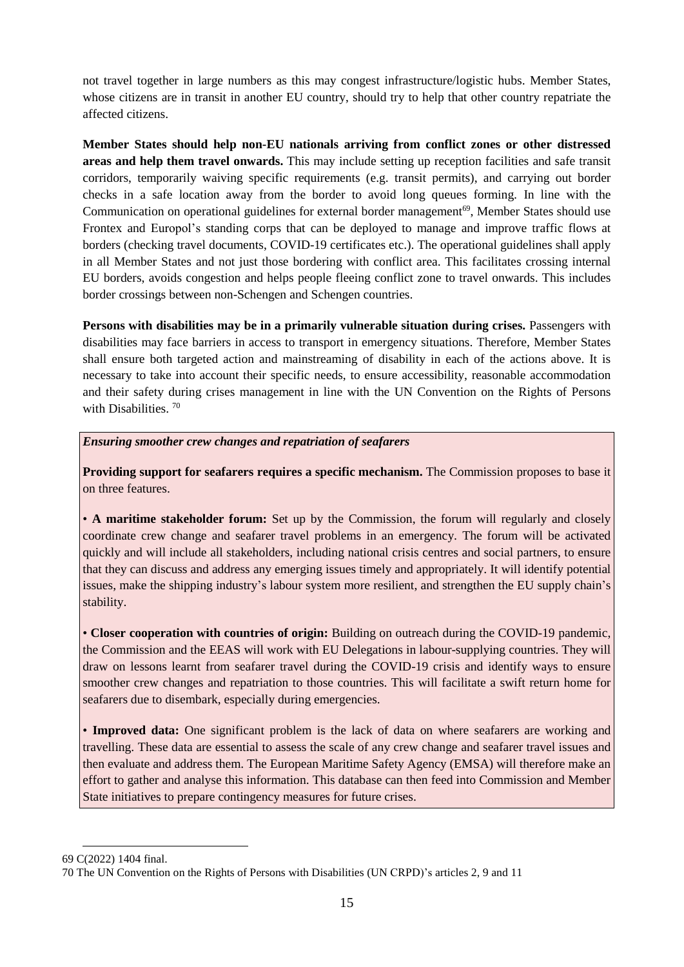not travel together in large numbers as this may congest infrastructure/logistic hubs. Member States, whose citizens are in transit in another EU country, should try to help that other country repatriate the affected citizens.

**Member States should help non-EU nationals arriving from conflict zones or other distressed areas and help them travel onwards.** This may include setting up reception facilities and safe transit corridors, temporarily waiving specific requirements (e.g. transit permits), and carrying out border checks in a safe location away from the border to avoid long queues forming. In line with the Communication on operational guidelines for external border management<sup>69</sup>, Member States should use Frontex and Europol's standing corps that can be deployed to manage and improve traffic flows at borders (checking travel documents, COVID-19 certificates etc.). The operational guidelines shall apply in all Member States and not just those bordering with conflict area. This facilitates crossing internal EU borders, avoids congestion and helps people fleeing conflict zone to travel onwards. This includes border crossings between non-Schengen and Schengen countries.

**Persons with disabilities may be in a primarily vulnerable situation during crises.** Passengers with disabilities may face barriers in access to transport in emergency situations. Therefore, Member States shall ensure both targeted action and mainstreaming of disability in each of the actions above. It is necessary to take into account their specific needs, to ensure accessibility, reasonable accommodation and their safety during crises management in line with the UN Convention on the Rights of Persons with Disabilities.<sup>70</sup>

*Ensuring smoother crew changes and repatriation of seafarers*

**Providing support for seafarers requires a specific mechanism.** The Commission proposes to base it on three features.

• **A maritime stakeholder forum:** Set up by the Commission, the forum will regularly and closely coordinate crew change and seafarer travel problems in an emergency. The forum will be activated quickly and will include all stakeholders, including national crisis centres and social partners, to ensure that they can discuss and address any emerging issues timely and appropriately. It will identify potential issues, make the shipping industry's labour system more resilient, and strengthen the EU supply chain's stability.

• **Closer cooperation with countries of origin:** Building on outreach during the COVID-19 pandemic, the Commission and the EEAS will work with EU Delegations in labour-supplying countries. They will draw on lessons learnt from seafarer travel during the COVID-19 crisis and identify ways to ensure smoother crew changes and repatriation to those countries. This will facilitate a swift return home for seafarers due to disembark, especially during emergencies.

• **Improved data:** One significant problem is the lack of data on where seafarers are working and travelling. These data are essential to assess the scale of any crew change and seafarer travel issues and then evaluate and address them. The European Maritime Safety Agency (EMSA) will therefore make an effort to gather and analyse this information. This database can then feed into Commission and Member State initiatives to prepare contingency measures for future crises.

<sup>69</sup> C(2022) 1404 final.

<sup>70</sup> The UN Convention on the Rights of Persons with Disabilities (UN CRPD)'s articles 2, 9 and 11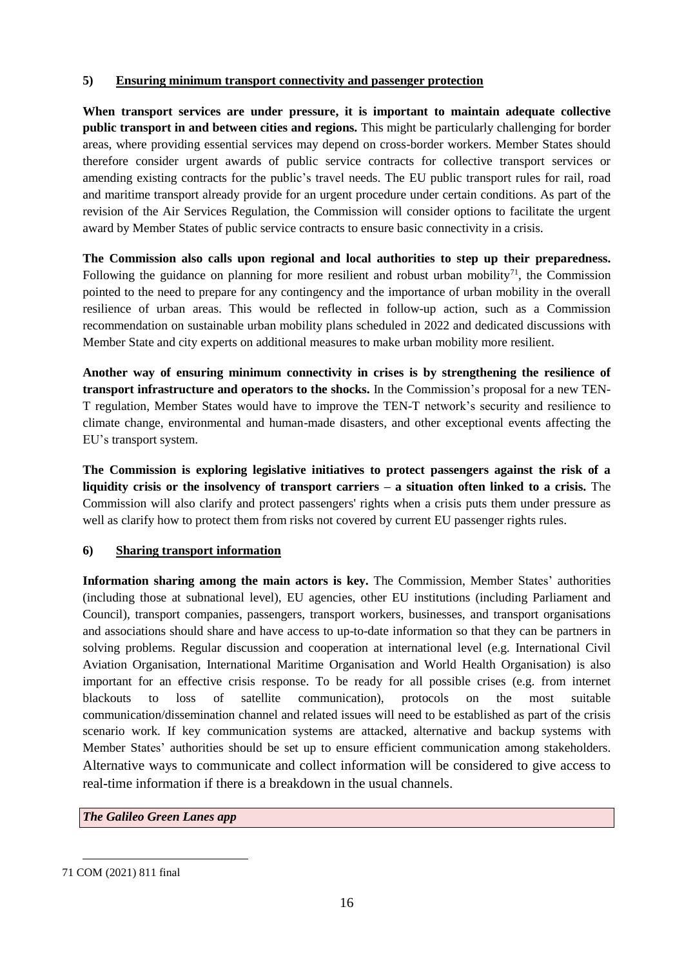# **5) Ensuring minimum transport connectivity and passenger protection**

**When transport services are under pressure, it is important to maintain adequate collective public transport in and between cities and regions.** This might be particularly challenging for border areas, where providing essential services may depend on cross-border workers. Member States should therefore consider urgent awards of public service contracts for collective transport services or amending existing contracts for the public's travel needs. The EU public transport rules for rail, road and maritime transport already provide for an urgent procedure under certain conditions. As part of the revision of the Air Services Regulation, the Commission will consider options to facilitate the urgent award by Member States of public service contracts to ensure basic connectivity in a crisis.

**The Commission also calls upon regional and local authorities to step up their preparedness.**  Following the guidance on planning for more resilient and robust urban mobility<sup>71</sup>, the Commission pointed to the need to prepare for any contingency and the importance of urban mobility in the overall resilience of urban areas. This would be reflected in follow-up action, such as a Commission recommendation on sustainable urban mobility plans scheduled in 2022 and dedicated discussions with Member State and city experts on additional measures to make urban mobility more resilient.

**Another way of ensuring minimum connectivity in crises is by strengthening the resilience of transport infrastructure and operators to the shocks.** In the Commission's proposal for a new TEN-T regulation, Member States would have to improve the TEN-T network's security and resilience to climate change, environmental and human-made disasters, and other exceptional events affecting the EU's transport system.

**The Commission is exploring legislative initiatives to protect passengers against the risk of a liquidity crisis or the insolvency of transport carriers – a situation often linked to a crisis.** The Commission will also clarify and protect passengers' rights when a crisis puts them under pressure as well as clarify how to protect them from risks not covered by current EU passenger rights rules.

# **6) Sharing transport information**

**Information sharing among the main actors is key.** The Commission, Member States' authorities (including those at subnational level), EU agencies, other EU institutions (including Parliament and Council), transport companies, passengers, transport workers, businesses, and transport organisations and associations should share and have access to up-to-date information so that they can be partners in solving problems. Regular discussion and cooperation at international level (e.g. International Civil Aviation Organisation, International Maritime Organisation and World Health Organisation) is also important for an effective crisis response. To be ready for all possible crises (e.g. from internet blackouts to loss of satellite communication), protocols on the most suitable communication/dissemination channel and related issues will need to be established as part of the crisis scenario work. If key communication systems are attacked, alternative and backup systems with Member States' authorities should be set up to ensure efficient communication among stakeholders. Alternative ways to communicate and collect information will be considered to give access to real-time information if there is a breakdown in the usual channels.

*The Galileo Green Lanes app* 

<sup>71</sup> COM (2021) 811 final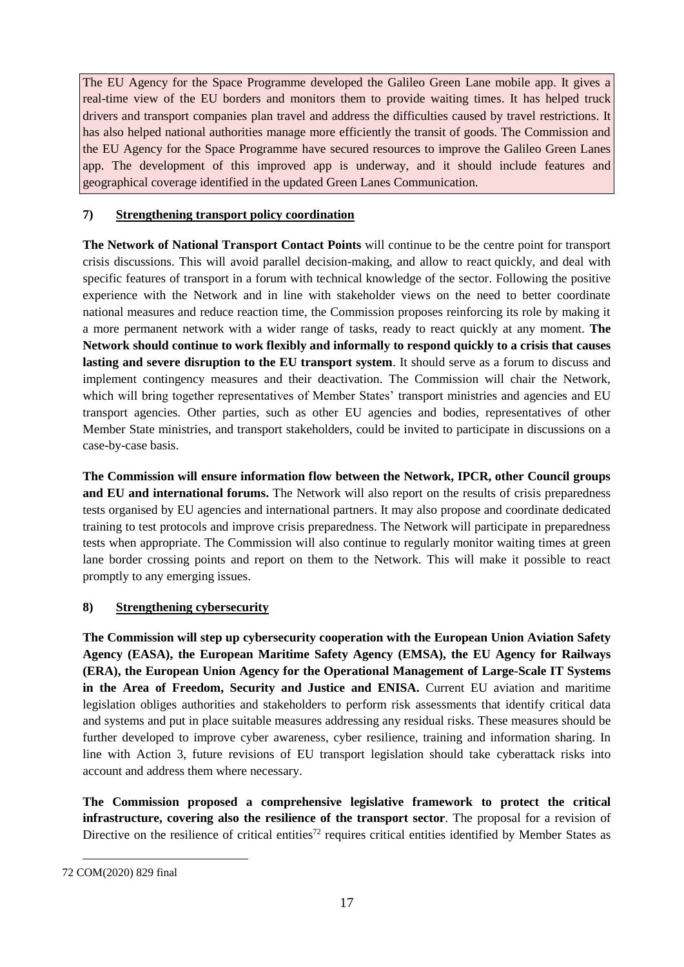The EU Agency for the Space Programme developed the Galileo Green Lane mobile app. It gives a real-time view of the EU borders and monitors them to provide waiting times. It has helped truck drivers and transport companies plan travel and address the difficulties caused by travel restrictions. It has also helped national authorities manage more efficiently the transit of goods. The Commission and the EU Agency for the Space Programme have secured resources to improve the Galileo Green Lanes app. The development of this improved app is underway, and it should include features and geographical coverage identified in the updated Green Lanes Communication.

# **7) Strengthening transport policy coordination**

**The Network of National Transport Contact Points** will continue to be the centre point for transport crisis discussions. This will avoid parallel decision-making, and allow to react quickly, and deal with specific features of transport in a forum with technical knowledge of the sector. Following the positive experience with the Network and in line with stakeholder views on the need to better coordinate national measures and reduce reaction time, the Commission proposes reinforcing its role by making it a more permanent network with a wider range of tasks, ready to react quickly at any moment. **The Network should continue to work flexibly and informally to respond quickly to a crisis that causes lasting and severe disruption to the EU transport system**. It should serve as a forum to discuss and implement contingency measures and their deactivation. The Commission will chair the Network, which will bring together representatives of Member States' transport ministries and agencies and EU transport agencies. Other parties, such as other EU agencies and bodies, representatives of other Member State ministries, and transport stakeholders, could be invited to participate in discussions on a case-by-case basis.

**The Commission will ensure information flow between the Network, IPCR, other Council groups and EU and international forums.** The Network will also report on the results of crisis preparedness tests organised by EU agencies and international partners. It may also propose and coordinate dedicated training to test protocols and improve crisis preparedness. The Network will participate in preparedness tests when appropriate. The Commission will also continue to regularly monitor waiting times at green lane border crossing points and report on them to the Network. This will make it possible to react promptly to any emerging issues.

# **8) Strengthening cybersecurity**

**The Commission will step up cybersecurity cooperation with the European Union Aviation Safety Agency (EASA), the European Maritime Safety Agency (EMSA), the EU Agency for Railways (ERA), the European Union Agency for the Operational Management of Large-Scale IT Systems in the Area of Freedom, Security and Justice and ENISA.** Current EU aviation and maritime legislation obliges authorities and stakeholders to perform risk assessments that identify critical data and systems and put in place suitable measures addressing any residual risks. These measures should be further developed to improve cyber awareness, cyber resilience, training and information sharing. In line with Action 3, future revisions of EU transport legislation should take cyberattack risks into account and address them where necessary.

**The Commission proposed a comprehensive legislative framework to protect the critical infrastructure, covering also the resilience of the transport sector**. The proposal for a revision of Directive on the resilience of critical entities<sup>72</sup> requires critical entities identified by Member States as

<sup>72</sup> COM(2020) 829 final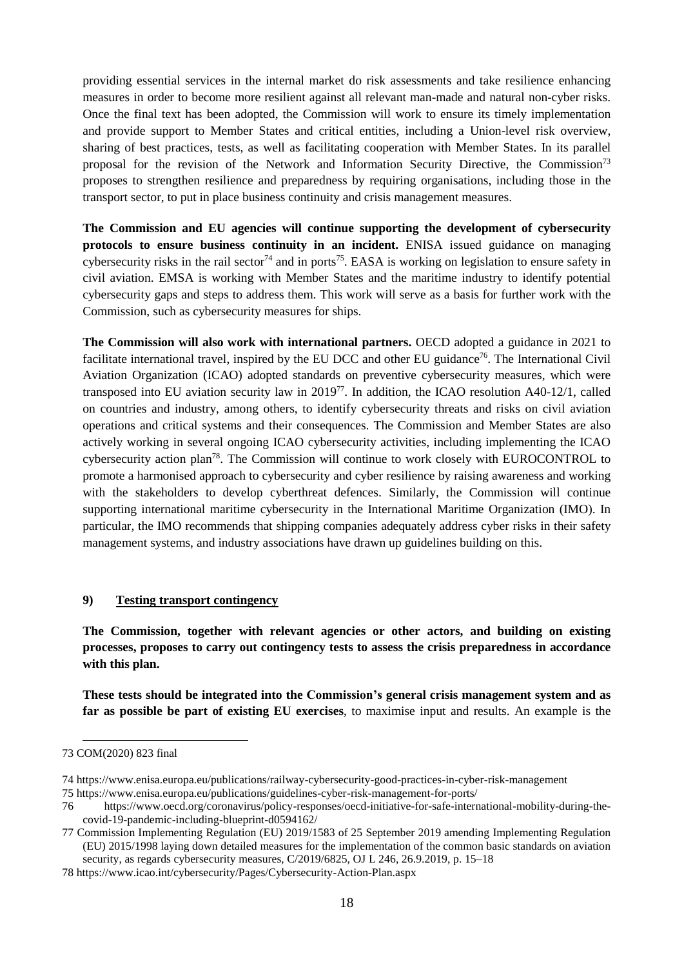providing essential services in the internal market do risk assessments and take resilience enhancing measures in order to become more resilient against all relevant man-made and natural non-cyber risks. Once the final text has been adopted, the Commission will work to ensure its timely implementation and provide support to Member States and critical entities, including a Union-level risk overview, sharing of best practices, tests, as well as facilitating cooperation with Member States. In its parallel proposal for the revision of the Network and Information Security Directive, the Commission<sup>73</sup> proposes to strengthen resilience and preparedness by requiring organisations, including those in the transport sector, to put in place business continuity and crisis management measures.

**The Commission and EU agencies will continue supporting the development of cybersecurity protocols to ensure business continuity in an incident.** ENISA issued guidance on managing cybersecurity risks in the rail sector<sup>74</sup> and in ports<sup>75</sup>. EASA is working on legislation to ensure safety in civil aviation. EMSA is working with Member States and the maritime industry to identify potential cybersecurity gaps and steps to address them. This work will serve as a basis for further work with the Commission, such as cybersecurity measures for ships.

**The Commission will also work with international partners.** OECD adopted a guidance in 2021 to facilitate international travel, inspired by the EU DCC and other EU guidance<sup>76</sup>. The International Civil Aviation Organization (ICAO) adopted standards on preventive cybersecurity measures, which were transposed into EU aviation security law in 2019<sup>77</sup>. In addition, the ICAO resolution A40-12/1, called on countries and industry, among others, to identify cybersecurity threats and risks on civil aviation operations and critical systems and their consequences. The Commission and Member States are also actively working in several ongoing ICAO cybersecurity activities, including implementing the ICAO cybersecurity action plan<sup>78</sup>. The Commission will continue to work closely with EUROCONTROL to promote a harmonised approach to cybersecurity and cyber resilience by raising awareness and working with the stakeholders to develop cyberthreat defences. Similarly, the Commission will continue supporting international maritime cybersecurity in the International Maritime Organization (IMO). In particular, the IMO recommends that shipping companies adequately address cyber risks in their safety management systems, and industry associations have drawn up guidelines building on this.

### **9) Testing transport contingency**

**The Commission, together with relevant agencies or other actors, and building on existing processes, proposes to carry out contingency tests to assess the crisis preparedness in accordance with this plan.**

**These tests should be integrated into the Commission's general crisis management system and as far as possible be part of existing EU exercises**, to maximise input and results. An example is the

<sup>73</sup> COM(2020) 823 final

<sup>74</sup> https://www.enisa.europa.eu/publications/railway-cybersecurity-good-practices-in-cyber-risk-management

<sup>75</sup> <https://www.enisa.europa.eu/publications/guidelines-cyber-risk-management-for-ports/>

<sup>76</sup> [https://www.oecd.org/coronavirus/policy-responses/oecd-initiative-for-safe-international-mobility-during-the](https://www.oecd.org/coronavirus/policy-responses/oecd-initiative-for-safe-international-mobility-during-the-covid-19-pandemic-including-blueprint-d0594162/)[covid-19-pandemic-including-blueprint-d0594162/](https://www.oecd.org/coronavirus/policy-responses/oecd-initiative-for-safe-international-mobility-during-the-covid-19-pandemic-including-blueprint-d0594162/)

<sup>77</sup> Commission Implementing Regulation (EU) 2019/1583 of 25 September 2019 amending Implementing Regulation (EU) 2015/1998 laying down detailed measures for the implementation of the common basic standards on aviation security, as regards cybersecurity measures, C/2019/6825, OJ L 246, 26.9.2019, p. 15–18

<sup>78</sup> https://www.icao.int/cybersecurity/Pages/Cybersecurity-Action-Plan.aspx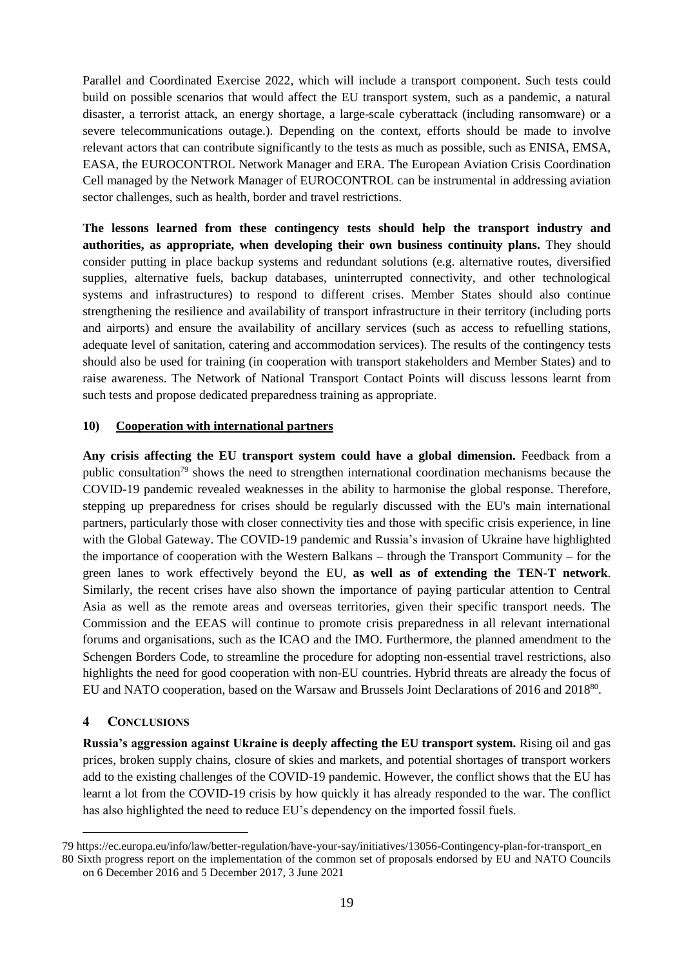Parallel and Coordinated Exercise 2022, which will include a transport component. Such tests could build on possible scenarios that would affect the EU transport system, such as a pandemic, a natural disaster, a terrorist attack, an energy shortage, a large-scale cyberattack (including ransomware) or a severe telecommunications outage.). Depending on the context, efforts should be made to involve relevant actors that can contribute significantly to the tests as much as possible, such as ENISA, EMSA, EASA, the EUROCONTROL Network Manager and ERA. The European Aviation Crisis Coordination Cell managed by the Network Manager of EUROCONTROL can be instrumental in addressing aviation sector challenges, such as health, border and travel restrictions.

**The lessons learned from these contingency tests should help the transport industry and authorities, as appropriate, when developing their own business continuity plans.** They should consider putting in place backup systems and redundant solutions (e.g. alternative routes, diversified supplies, alternative fuels, backup databases, uninterrupted connectivity, and other technological systems and infrastructures) to respond to different crises. Member States should also continue strengthening the resilience and availability of transport infrastructure in their territory (including ports and airports) and ensure the availability of ancillary services (such as access to refuelling stations, adequate level of sanitation, catering and accommodation services). The results of the contingency tests should also be used for training (in cooperation with transport stakeholders and Member States) and to raise awareness. The Network of National Transport Contact Points will discuss lessons learnt from such tests and propose dedicated preparedness training as appropriate.

# **10) Cooperation with international partners**

**Any crisis affecting the EU transport system could have a global dimension.** Feedback from a public consultation<sup>79</sup> shows the need to strengthen international coordination mechanisms because the COVID-19 pandemic revealed weaknesses in the ability to harmonise the global response. Therefore, stepping up preparedness for crises should be regularly discussed with the EU's main international partners, particularly those with closer connectivity ties and those with specific crisis experience, in line with the Global Gateway. The COVID-19 pandemic and Russia's invasion of Ukraine have highlighted the importance of cooperation with the Western Balkans – through the Transport Community – for the green lanes to work effectively beyond the EU, **as well as of extending the TEN-T network**. Similarly, the recent crises have also shown the importance of paying particular attention to Central Asia as well as the remote areas and overseas territories, given their specific transport needs. The Commission and the EEAS will continue to promote crisis preparedness in all relevant international forums and organisations, such as the ICAO and the IMO. Furthermore, the planned amendment to the Schengen Borders Code, to streamline the procedure for adopting non-essential travel restrictions, also highlights the need for good cooperation with non-EU countries. Hybrid threats are already the focus of EU and NATO cooperation, based on the Warsaw and Brussels Joint Declarations of 2016 and 2018<sup>80</sup>.

# **4 CONCLUSIONS**

1

**Russia's aggression against Ukraine is deeply affecting the EU transport system.** Rising oil and gas prices, broken supply chains, closure of skies and markets, and potential shortages of transport workers add to the existing challenges of the COVID-19 pandemic. However, the conflict shows that the EU has learnt a lot from the COVID-19 crisis by how quickly it has already responded to the war. The conflict has also highlighted the need to reduce EU's dependency on the imported fossil fuels.

<sup>79</sup> https://ec.europa.eu/info/law/better-regulation/have-your-say/initiatives/13056-Contingency-plan-for-transport\_en

<sup>80</sup> Sixth progress report on the implementation of the common set of proposals endorsed by EU and NATO Councils on 6 December 2016 and 5 December 2017, 3 June 2021